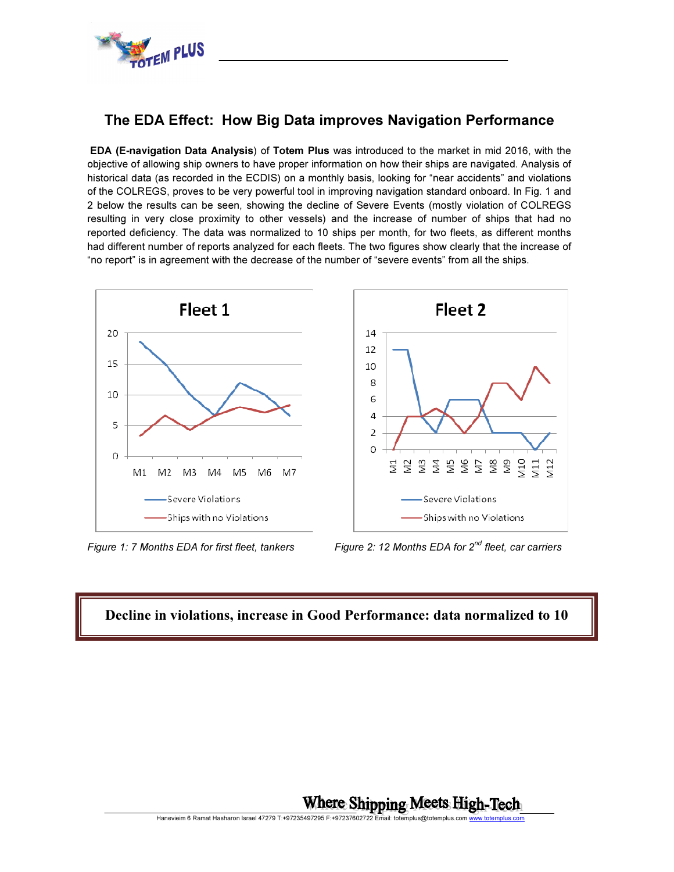

## The EDA Effect: How Big Data improves Navigation Performance

 EDA (E-navigation Data Analysis) of Totem Plus was introduced to the market in mid 2016, with the objective of allowing ship owners to have proper information on how their ships are navigated. Analysis of historical data (as recorded in the ECDIS) on a monthly basis, looking for "near accidents" and violations of the COLREGS, proves to be very powerful tool in improving navigation standard onboard. In Fig. 1 and 2 below the results can be seen, showing the decline of Severe Events (mostly violation of COLREGS resulting in very close proximity to other vessels) and the increase of number of ships that had no reported deficiency. The data was normalized to 10 ships per month, for two fleets, as different months had different number of reports analyzed for each fleets. The two figures show clearly that the increase of "no report" is in agreement with the decrease of the number of "severe events" from all the ships.



Figure 1: 7 Months EDA for first fleet, tankers Figure 2: 12 Months EDA for  $2^{nd}$  fleet, car carriers

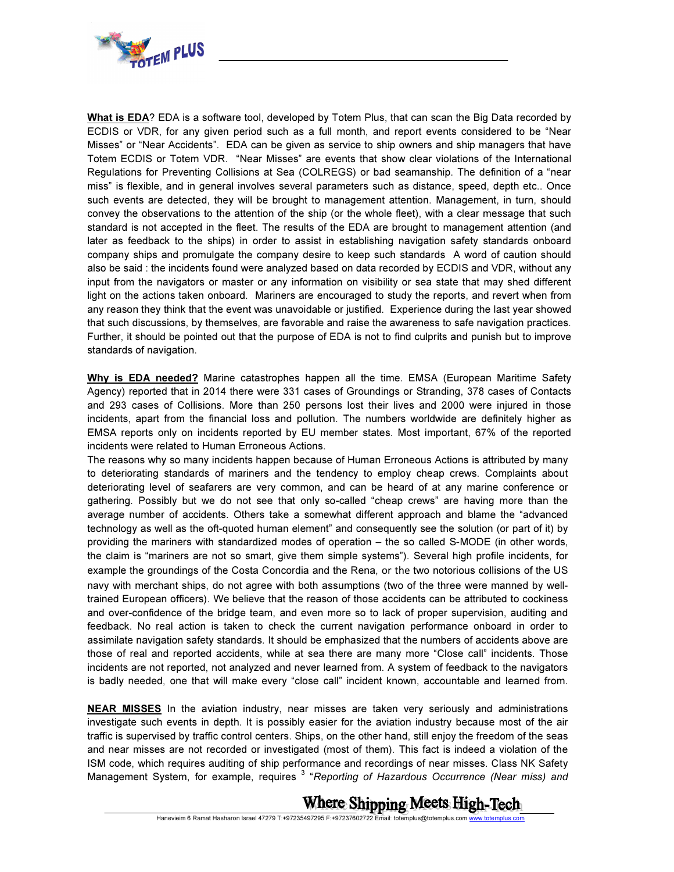

What is EDA? EDA is a software tool, developed by Totem Plus, that can scan the Big Data recorded by ECDIS or VDR, for any given period such as a full month, and report events considered to be "Near Misses" or "Near Accidents". EDA can be given as service to ship owners and ship managers that have Totem ECDIS or Totem VDR. "Near Misses" are events that show clear violations of the International Regulations for Preventing Collisions at Sea (COLREGS) or bad seamanship. The definition of a "near miss" is flexible, and in general involves several parameters such as distance, speed, depth etc.. Once such events are detected, they will be brought to management attention. Management, in turn, should convey the observations to the attention of the ship (or the whole fleet), with a clear message that such standard is not accepted in the fleet. The results of the EDA are brought to management attention (and later as feedback to the ships) in order to assist in establishing navigation safety standards onboard company ships and promulgate the company desire to keep such standards A word of caution should also be said : the incidents found were analyzed based on data recorded by ECDIS and VDR, without any input from the navigators or master or any information on visibility or sea state that may shed different light on the actions taken onboard. Mariners are encouraged to study the reports, and revert when from any reason they think that the event was unavoidable or justified. Experience during the last year showed that such discussions, by themselves, are favorable and raise the awareness to safe navigation practices. Further, it should be pointed out that the purpose of EDA is not to find culprits and punish but to improve standards of navigation.

Why is EDA needed? Marine catastrophes happen all the time. EMSA (European Maritime Safety Agency) reported that in 2014 there were 331 cases of Groundings or Stranding, 378 cases of Contacts and 293 cases of Collisions. More than 250 persons lost their lives and 2000 were injured in those incidents, apart from the financial loss and pollution. The numbers worldwide are definitely higher as EMSA reports only on incidents reported by EU member states. Most important, 67% of the reported incidents were related to Human Erroneous Actions.

The reasons why so many incidents happen because of Human Erroneous Actions is attributed by many to deteriorating standards of mariners and the tendency to employ cheap crews. Complaints about deteriorating level of seafarers are very common, and can be heard of at any marine conference or gathering. Possibly but we do not see that only so-called "cheap crews" are having more than the average number of accidents. Others take a somewhat different approach and blame the "advanced technology as well as the oft-quoted human element" and consequently see the solution (or part of it) by providing the mariners with standardized modes of operation – the so called S-MODE (in other words, the claim is "mariners are not so smart, give them simple systems"). Several high profile incidents, for example the groundings of the Costa Concordia and the Rena, or the two notorious collisions of the US navy with merchant ships, do not agree with both assumptions (two of the three were manned by welltrained European officers). We believe that the reason of those accidents can be attributed to cockiness and over-confidence of the bridge team, and even more so to lack of proper supervision, auditing and feedback. No real action is taken to check the current navigation performance onboard in order to assimilate navigation safety standards. It should be emphasized that the numbers of accidents above are those of real and reported accidents, while at sea there are many more "Close call" incidents. Those incidents are not reported, not analyzed and never learned from. A system of feedback to the navigators is badly needed, one that will make every "close call" incident known, accountable and learned from.

NEAR MISSES In the aviation industry, near misses are taken very seriously and administrations investigate such events in depth. It is possibly easier for the aviation industry because most of the air traffic is supervised by traffic control centers. Ships, on the other hand, still enjoy the freedom of the seas and near misses are not recorded or investigated (most of them). This fact is indeed a violation of the ISM code, which requires auditing of ship performance and recordings of near misses. Class NK Safety Management System, for example, requires<sup>3</sup> "Reporting of Hazardous Occurrence (Near miss) and

## Where Shipping Meets High-Tech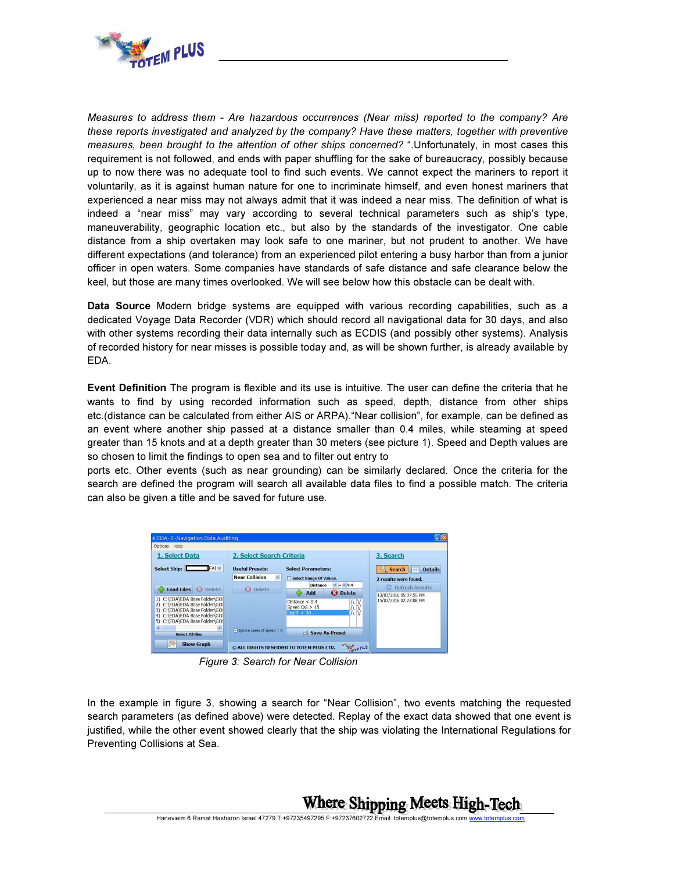

Measures to address them - Are hazardous occurrences (Near miss) reported to the company? Are these reports investigated and analyzed by the company? Have these matters, together with preventive measures, been brought to the attention of other ships concerned? ".Unfortunately, in most cases this requirement is not followed, and ends with paper shuffling for the sake of bureaucracy, possibly because up to now there was no adequate tool to find such events. We cannot expect the mariners to report it voluntarily, as it is against human nature for one to incriminate himself, and even honest mariners that experienced a near miss may not always admit that it was indeed a near miss. The definition of what is indeed a "near miss" may vary according to several technical parameters such as ship's type, maneuverability, geographic location etc., but also by the standards of the investigator. One cable distance from a ship overtaken may look safe to one mariner, but not prudent to another. We have different expectations (and tolerance) from an experienced pilot entering a busy harbor than from a junior officer in open waters. Some companies have standards of safe distance and safe clearance below the keel, but those are many times overlooked. We will see below how this obstacle can be dealt with.

Data Source Modern bridge systems are equipped with various recording capabilities, such as a dedicated Voyage Data Recorder (VDR) which should record all navigational data for 30 days, and also with other systems recording their data internally such as ECDIS (and possibly other systems). Analysis of recorded history for near misses is possible today and, as will be shown further, is already available by EDA.

Event Definition The program is flexible and its use is intuitive. The user can define the criteria that he wants to find by using recorded information such as speed, depth, distance from other ships etc.(distance can be calculated from either AIS or ARPA)."Near collision", for example, can be defined as an event where another ship passed at a distance smaller than 0.4 miles, while steaming at speed greater than 15 knots and at a depth greater than 30 meters (see picture 1). Speed and Depth values are so chosen to limit the findings to open sea and to filter out entry to

ports etc. Other events (such as near grounding) can be similarly declared. Once the criteria for the search are defined the program will search all available data files to find a possible match. The criteria can also be given a title and be saved for future use.



Figure 3: Search for Near Collision

In the example in figure 3, showing a search for "Near Collision", two events matching the requested search parameters (as defined above) were detected. Replay of the exact data showed that one event is justified, while the other event showed clearly that the ship was violating the International Regulations for Preventing Collisions at Sea.